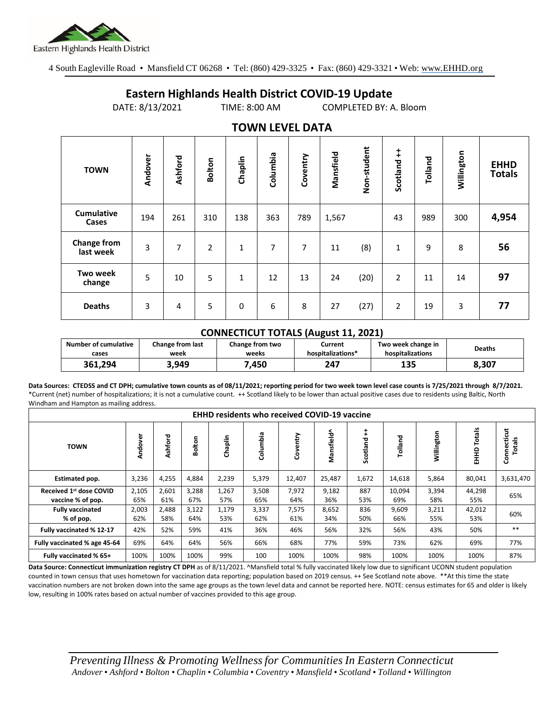

4 South Eagleville Road • Mansfield CT 06268 • Tel: (860) 429-3325 • Fax: (860) 429-3321 • Web: www.EHHD.org

## **Eastern Highlands Health District COVID-19 Update**

DATE: 8/13/2021 TIME: 8:00 AM COMPLETED BY: A. Bloom

| $19.111$ is the set of $17$     |         |         |               |              |          |          |           |             |                        |         |            |                              |
|---------------------------------|---------|---------|---------------|--------------|----------|----------|-----------|-------------|------------------------|---------|------------|------------------------------|
| <b>TOWN</b>                     | Andover | Ashford | <b>Bolton</b> | Chaplin      | Columbia | Coventry | Mansfield | Non-student | $\ddagger$<br>Scotland | Tolland | Willington | <b>EHHD</b><br><b>Totals</b> |
| <b>Cumulative</b><br>Cases      | 194     | 261     | 310           | 138          | 363      | 789      | 1,567     |             | 43                     | 989     | 300        | 4,954                        |
| <b>Change from</b><br>last week | 3       | 7       | 2             | $\mathbf 1$  | 7        | 7        | 11        | (8)         | $\mathbf{1}$           | 9       | 8          | 56                           |
| <b>Two week</b><br>change       | 5       | 10      | 5             | $\mathbf{1}$ | 12       | 13       | 24        | (20)        | 2                      | 11      | 14         | 97                           |
| <b>Deaths</b>                   | 3       | 4       | 5             | 0            | 6        | 8        | 27        | (27)        | 2                      | 19      | 3          | 77                           |

## **TOWN LEVEL DATA**

## **CONNECTICUT TOTALS (August 11, 2021)**

| Number of cumulative | <b>Change from last</b> | Change from two | Current           | Two week change in | Deaths |  |
|----------------------|-------------------------|-----------------|-------------------|--------------------|--------|--|
| cases                | week                    | weeks           | hospitalizations* | hospitalizations   |        |  |
| 361.294              | 3.949                   | .450            | 247               | 135                | 8,307  |  |

**Data Sources: CTEDSS and CT DPH; cumulative town counts as of 08/11/2021; reporting period for two week town level case counts is 7/25/2021 through 8/7/2021.** \*Current (net) number of hospitalizations; it is not a cumulative count. ++ Scotland likely to be lower than actual positive cases due to residents using Baltic, North Windham and Hampton as mailing address.

| <b>EHHD residents who received COVID-19 vaccine</b>      |              |              |              |              |              |              |              |                        |               |              |                  |                       |
|----------------------------------------------------------|--------------|--------------|--------------|--------------|--------------|--------------|--------------|------------------------|---------------|--------------|------------------|-----------------------|
| <b>TOWN</b>                                              | Andover      | Ashford      | ⊆<br>Boltor  | Chaplin      | Columbia     | Coventry     | Mansfield^   | $\ddagger$<br>Scotland | Tolland       | Willington   | Totals<br>요<br>표 | Connecticut<br>Totals |
| <b>Estimated pop.</b>                                    | 3,236        | 4,255        | 4,884        | 2,239        | 5,379        | 12,407       | 25,487       | 1,672                  | 14,618        | 5,864        | 80,041           | 3,631,470             |
| Received 1 <sup>st</sup> dose COVID<br>vaccine % of pop. | 2,105<br>65% | 2,601<br>61% | 3,288<br>67% | 1,267<br>57% | 3,508<br>65% | 7,972<br>64% | 9,182<br>36% | 887<br>53%             | 10,094<br>69% | 3,394<br>58% | 44,298<br>55%    | 65%                   |
| <b>Fully vaccinated</b><br>% of pop.                     | 2,003<br>62% | 2,488<br>58% | 3,122<br>64% | 1,179<br>53% | 3,337<br>62% | 7,575<br>61% | 8,652<br>34% | 836<br>50%             | 9,609<br>66%  | 3,211<br>55% | 42,012<br>53%    | 60%                   |
| Fully vaccinated % 12-17                                 | 42%          | 52%          | 59%          | 41%          | 36%          | 46%          | 56%          | 32%                    | 56%           | 43%          | 50%              | $***$                 |
| Fully vaccinated % age 45-64                             | 69%          | 64%          | 64%          | 56%          | 66%          | 68%          | 77%          | 59%                    | 73%           | 62%          | 69%              | 77%                   |
| Fully vaccinated % 65+                                   | 100%         | 100%         | 100%         | 99%          | 100          | 100%         | 100%         | 98%                    | 100%          | 100%         | 100%             | 87%                   |

Data Source: Connecticut immunization registry CT DPH as of 8/11/2021. <sup>A</sup>Mansfield total % fully vaccinated likely low due to significant UCONN student population counted in town census that uses hometown for vaccination data reporting; population based on 2019 census. ++ See Scotland note above. \*\*At this time the state vaccination numbers are not broken down into the same age groups as the town level data and cannot be reported here. NOTE: census estimates for 65 and older is likely low, resulting in 100% rates based on actual number of vaccines provided to this age group.